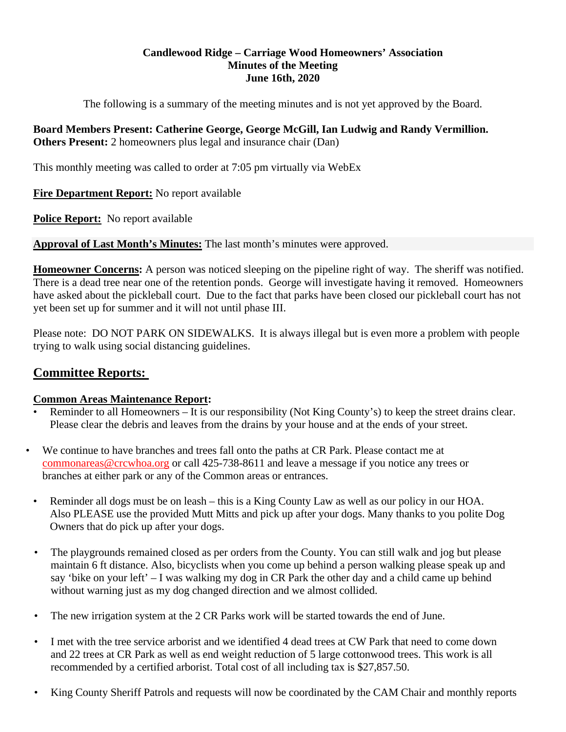### **Candlewood Ridge – Carriage Wood Homeowners' Association Minutes of the Meeting June 16th, 2020**

The following is a summary of the meeting minutes and is not yet approved by the Board.

## **Board Members Present: Catherine George, George McGill, Ian Ludwig and Randy Vermillion. Others Present:** 2 homeowners plus legal and insurance chair (Dan)

This monthly meeting was called to order at 7:05 pm virtually via WebEx

### **Fire Department Report:** No report available

**Police Report:** No report available

**Approval of Last Month's Minutes:** The last month's minutes were approved.

**Homeowner Concerns:** A person was noticed sleeping on the pipeline right of way. The sheriff was notified. There is a dead tree near one of the retention ponds. George will investigate having it removed. Homeowners have asked about the pickleball court. Due to the fact that parks have been closed our pickleball court has not yet been set up for summer and it will not until phase III.

Please note: DO NOT PARK ON SIDEWALKS. It is always illegal but is even more a problem with people trying to walk using social distancing guidelines.

# **Committee Reports:**

## **Common Areas Maintenance Report:**

- Reminder to all Homeowners It is our responsibility (Not King County's) to keep the street drains clear. Please clear the debris and leaves from the drains by your house and at the ends of your street.
- We continue to have branches and trees fall onto the paths at CR Park. Please contact me at commonareas@crcwhoa.org or call 425-738-8611 and leave a message if you notice any trees or branches at either park or any of the Common areas or entrances.
	- Reminder all dogs must be on leash this is a King County Law as well as our policy in our HOA. Also PLEASE use the provided Mutt Mitts and pick up after your dogs. Many thanks to you polite Dog Owners that do pick up after your dogs.
	- The playgrounds remained closed as per orders from the County. You can still walk and jog but please maintain 6 ft distance. Also, bicyclists when you come up behind a person walking please speak up and say 'bike on your left' – I was walking my dog in CR Park the other day and a child came up behind without warning just as my dog changed direction and we almost collided.
	- The new irrigation system at the 2 CR Parks work will be started towards the end of June.
	- I met with the tree service arborist and we identified 4 dead trees at CW Park that need to come down and 22 trees at CR Park as well as end weight reduction of 5 large cottonwood trees. This work is all recommended by a certified arborist. Total cost of all including tax is \$27,857.50.
	- King County Sheriff Patrols and requests will now be coordinated by the CAM Chair and monthly reports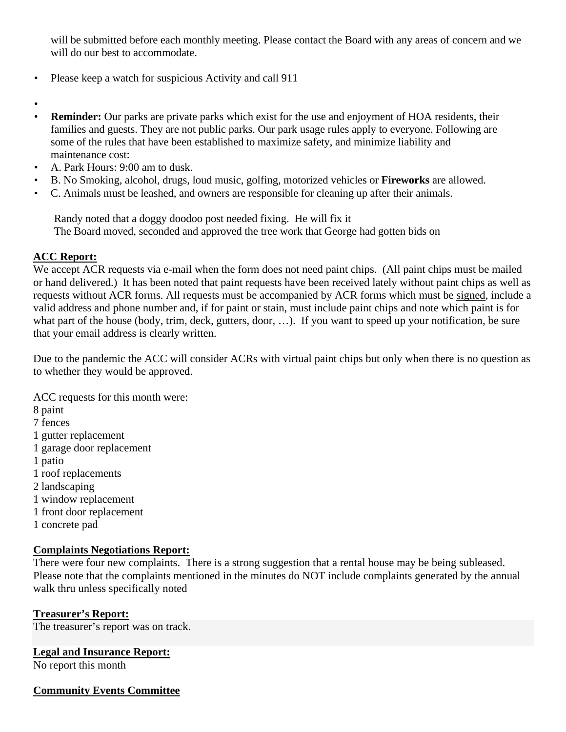will be submitted before each monthly meeting. Please contact the Board with any areas of concern and we will do our best to accommodate.

- Please keep a watch for suspicious Activity and call 911
- •
- **Reminder:** Our parks are private parks which exist for the use and enjoyment of HOA residents, their families and guests. They are not public parks. Our park usage rules apply to everyone. Following are some of the rules that have been established to maximize safety, and minimize liability and maintenance cost:
- A. Park Hours: 9:00 am to dusk.
- B. No Smoking, alcohol, drugs, loud music, golfing, motorized vehicles or **Fireworks** are allowed.
- C. Animals must be leashed, and owners are responsible for cleaning up after their animals.

Randy noted that a doggy doodoo post needed fixing. He will fix it The Board moved, seconded and approved the tree work that George had gotten bids on

## **ACC Report:**

We accept ACR requests via e-mail when the form does not need paint chips. (All paint chips must be mailed or hand delivered.) It has been noted that paint requests have been received lately without paint chips as well as requests without ACR forms. All requests must be accompanied by ACR forms which must be signed, include a valid address and phone number and, if for paint or stain, must include paint chips and note which paint is for what part of the house (body, trim, deck, gutters, door, ...). If you want to speed up your notification, be sure that your email address is clearly written.

Due to the pandemic the ACC will consider ACRs with virtual paint chips but only when there is no question as to whether they would be approved.

ACC requests for this month were:

- 8 paint
- 7 fences
- 1 gutter replacement
- 1 garage door replacement
- 1 patio
- 1 roof replacements
- 2 landscaping
- 1 window replacement
- 1 front door replacement
- 1 concrete pad

### **Complaints Negotiations Report:**

There were four new complaints. There is a strong suggestion that a rental house may be being subleased. Please note that the complaints mentioned in the minutes do NOT include complaints generated by the annual walk thru unless specifically noted

### **Treasurer's Report:**

The treasurer's report was on track.

### **Legal and Insurance Report:**

No report this month

### **Community Events Committee**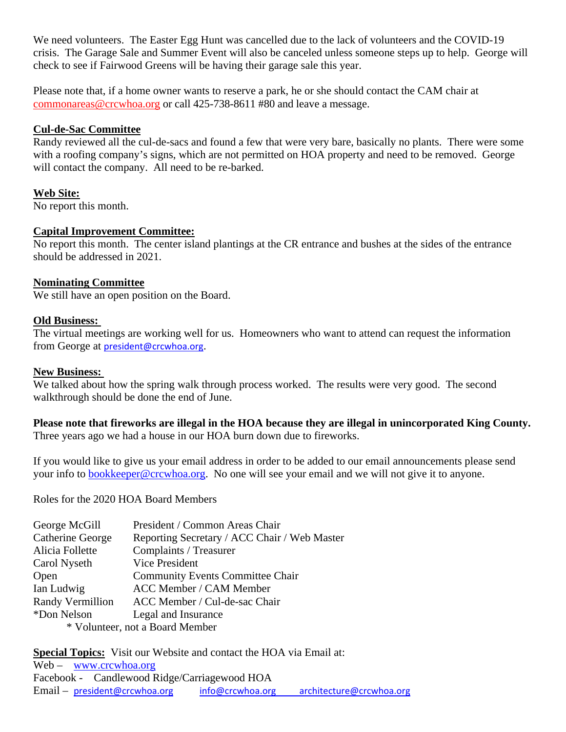We need volunteers. The Easter Egg Hunt was cancelled due to the lack of volunteers and the COVID-19 crisis. The Garage Sale and Summer Event will also be canceled unless someone steps up to help. George will check to see if Fairwood Greens will be having their garage sale this year.

Please note that, if a home owner wants to reserve a park, he or she should contact the CAM chair at commonareas@crcwhoa.org or call 425-738-8611 #80 and leave a message.

#### **Cul-de-Sac Committee**

Randy reviewed all the cul-de-sacs and found a few that were very bare, basically no plants. There were some with a roofing company's signs, which are not permitted on HOA property and need to be removed. George will contact the company. All need to be re-barked.

### **Web Site:**

No report this month.

### **Capital Improvement Committee:**

No report this month. The center island plantings at the CR entrance and bushes at the sides of the entrance should be addressed in 2021.

#### **Nominating Committee**

We still have an open position on the Board.

#### **Old Business:**

The virtual meetings are working well for us. Homeowners who want to attend can request the information from George at president@crcwhoa.org.

#### **New Business:**

We talked about how the spring walk through process worked. The results were very good. The second walkthrough should be done the end of June.

## **Please note that fireworks are illegal in the HOA because they are illegal in unincorporated King County.**

Three years ago we had a house in our HOA burn down due to fireworks.

If you would like to give us your email address in order to be added to our email announcements please send your info to bookkeeper@crcwhoa.org. No one will see your email and we will not give it to anyone.

Roles for the 2020 HOA Board Members

| George McGill                   | President / Common Areas Chair               |
|---------------------------------|----------------------------------------------|
| Catherine George                | Reporting Secretary / ACC Chair / Web Master |
| Alicia Follette                 | Complaints / Treasurer                       |
| Carol Nyseth                    | Vice President                               |
| Open                            | <b>Community Events Committee Chair</b>      |
| Ian Ludwig                      | ACC Member / CAM Member                      |
| Randy Vermillion                | ACC Member / Cul-de-sac Chair                |
| *Don Nelson                     | Legal and Insurance                          |
| * Volunteer, not a Board Member |                                              |

**Special Topics:** Visit our Website and contact the HOA via Email at: Web – www.crcwhoa.org Facebook - Candlewood Ridge/Carriagewood HOA Email – president@crcwhoa.org info@crcwhoa.org architecture@crcwhoa.org